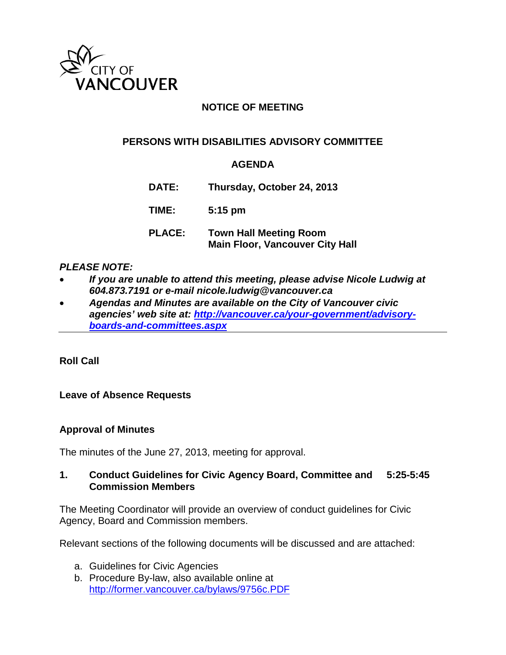

# **NOTICE OF MEETING**

## **PERSONS WITH DISABILITIES ADVISORY COMMITTEE**

## **AGENDA**

**DATE: Thursday, October 24, 2013**

**TIME: 5:15 pm**

**PLACE: Town Hall Meeting Room Main Floor, Vancouver City Hall**

#### *PLEASE NOTE:*

- *If you are unable to attend this meeting, please advise Nicole Ludwig at 604.873.7191 or e-mail nicole.ludwig@vancouver.ca*
- *Agendas and Minutes are available on the City of Vancouver civic agencies' web site at: [http://vancouver.ca/your-government/advisory](http://vancouver.ca/your-government/advisory-boards-and-committees.aspx)[boards-and-committees.aspx](http://vancouver.ca/your-government/advisory-boards-and-committees.aspx)*

**Roll Call**

## **Leave of Absence Requests**

## **Approval of Minutes**

The minutes of the June 27, 2013, meeting for approval.

## **1. Conduct Guidelines for Civic Agency Board, Committee and 5:25-5:45 Commission Members**

The Meeting Coordinator will provide an overview of conduct guidelines for Civic Agency, Board and Commission members.

Relevant sections of the following documents will be discussed and are attached:

- a. Guidelines for Civic Agencies
- b. Procedure By-law, also available online at <http://former.vancouver.ca/bylaws/9756c.PDF>